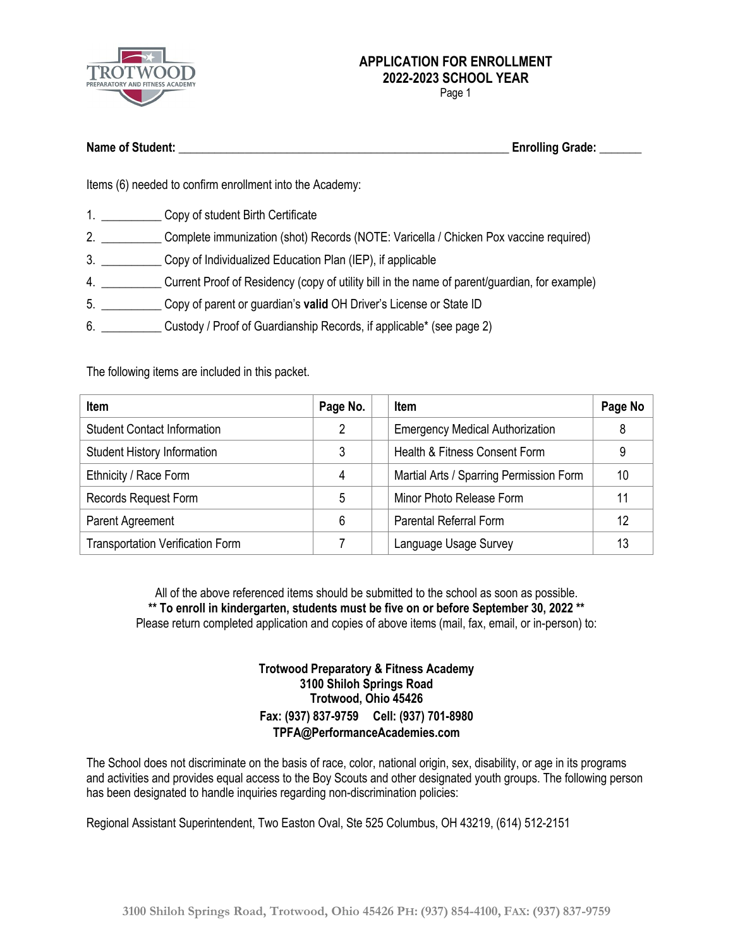

Page 1

| <b>Name of Student:</b> | <b>Enrolling Grade:</b> |  |
|-------------------------|-------------------------|--|
|                         |                         |  |

Items (6) needed to confirm enrollment into the Academy:

- 1. Copy of student Birth Certificate
- 2. \_\_\_\_\_\_\_\_\_\_ Complete immunization (shot) Records (NOTE: Varicella / Chicken Pox vaccine required)
- 3. \_\_\_\_\_\_\_\_\_\_ Copy of Individualized Education Plan (IEP), if applicable
- 4. \_\_\_\_\_\_\_\_\_\_ Current Proof of Residency (copy of utility bill in the name of parent/guardian, for example)
- 5. \_\_\_\_\_\_\_\_\_\_ Copy of parent or guardian's **valid** OH Driver's License or State ID
- 6. \_\_\_\_\_\_\_\_\_\_ Custody / Proof of Guardianship Records, if applicable\* (see page 2)

The following items are included in this packet.

| <b>Item</b>                             | Page No. | <b>Item</b>                             | Page No |
|-----------------------------------------|----------|-----------------------------------------|---------|
| <b>Student Contact Information</b>      | 2        | <b>Emergency Medical Authorization</b>  | 8       |
| <b>Student History Information</b>      | 3        | Health & Fitness Consent Form           | 9       |
| Ethnicity / Race Form                   | 4        | Martial Arts / Sparring Permission Form | 10      |
| Records Request Form                    | 5        | Minor Photo Release Form                |         |
| Parent Agreement                        | 6        | <b>Parental Referral Form</b>           | 12      |
| <b>Transportation Verification Form</b> |          | Language Usage Survey                   | 13      |

All of the above referenced items should be submitted to the school as soon as possible. **\*\* To enroll in kindergarten, students must be five on or before September 30, 2022 \*\*** Please return completed application and copies of above items (mail, fax, email, or in-person) to:

### **Trotwood Preparatory & Fitness Academy 3100 Shiloh Springs Road Trotwood, Ohio 45426 Fax: (937) 837-9759 Cell: (937) 701-8980 TPFA@PerformanceAcademies.com**

The School does not discriminate on the basis of race, color, national origin, sex, disability, or age in its programs and activities and provides equal access to the Boy Scouts and other designated youth groups. The following person has been designated to handle inquiries regarding non-discrimination policies:

Regional Assistant Superintendent, Two Easton Oval, Ste 525 Columbus, OH 43219, (614) 512-2151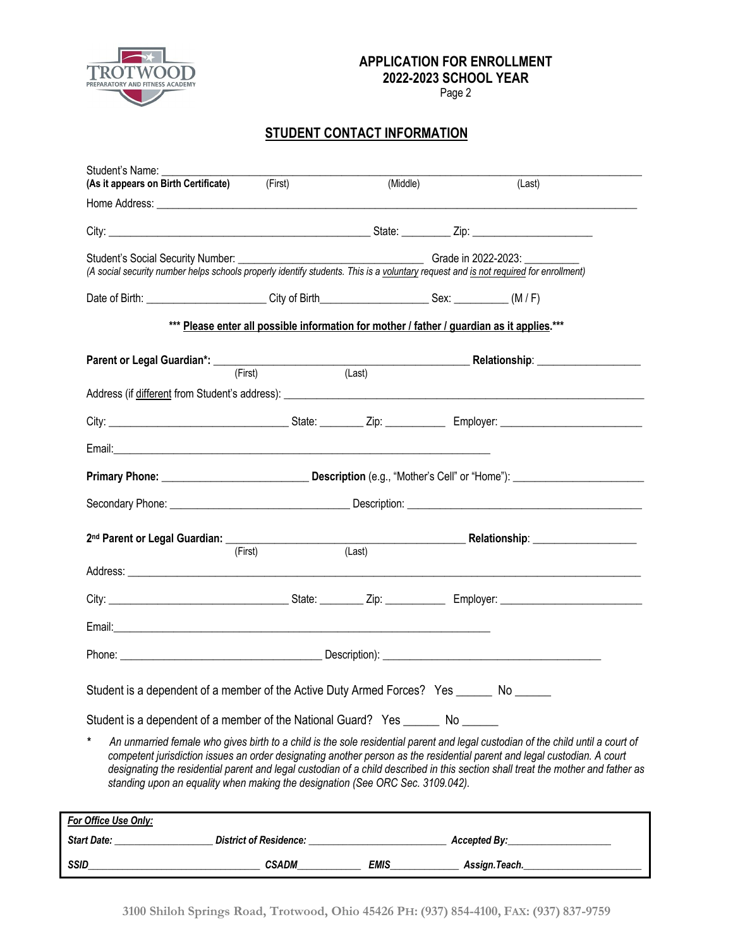

Page 2

# **STUDENT CONTACT INFORMATION**

| Student's Name:<br>(As it appears on Birth Certificate) (First)                                                                                                                                                                          |                                                                                            | (Middle)            |              | (Last)                                                                                                                                                                                                                                                                                                                                                                                          |
|------------------------------------------------------------------------------------------------------------------------------------------------------------------------------------------------------------------------------------------|--------------------------------------------------------------------------------------------|---------------------|--------------|-------------------------------------------------------------------------------------------------------------------------------------------------------------------------------------------------------------------------------------------------------------------------------------------------------------------------------------------------------------------------------------------------|
|                                                                                                                                                                                                                                          |                                                                                            |                     |              |                                                                                                                                                                                                                                                                                                                                                                                                 |
|                                                                                                                                                                                                                                          |                                                                                            |                     |              |                                                                                                                                                                                                                                                                                                                                                                                                 |
| Student's Social Security Number: __________<br>(A social security number helps schools properly identify students. This is a voluntary request and is not required for enrollment)                                                      |                                                                                            | Grade in 2022-2023: |              |                                                                                                                                                                                                                                                                                                                                                                                                 |
| Date of Birth: (M/F) City of Birth Canada Context: Case CM/F)                                                                                                                                                                            |                                                                                            |                     |              |                                                                                                                                                                                                                                                                                                                                                                                                 |
|                                                                                                                                                                                                                                          | *** Please enter all possible information for mother / father / guardian as it applies.*** |                     |              |                                                                                                                                                                                                                                                                                                                                                                                                 |
| Parent or Legal Guardian*: <u>(First)</u> (Example 2014) (Last) Relationship: 2014 Relationship: 2014)                                                                                                                                   |                                                                                            |                     |              |                                                                                                                                                                                                                                                                                                                                                                                                 |
|                                                                                                                                                                                                                                          |                                                                                            |                     |              |                                                                                                                                                                                                                                                                                                                                                                                                 |
|                                                                                                                                                                                                                                          |                                                                                            |                     |              |                                                                                                                                                                                                                                                                                                                                                                                                 |
|                                                                                                                                                                                                                                          |                                                                                            |                     |              |                                                                                                                                                                                                                                                                                                                                                                                                 |
|                                                                                                                                                                                                                                          |                                                                                            |                     |              |                                                                                                                                                                                                                                                                                                                                                                                                 |
|                                                                                                                                                                                                                                          |                                                                                            |                     |              |                                                                                                                                                                                                                                                                                                                                                                                                 |
| 2 <sup>nd</sup> Parent or Legal Guardian: (First) (Last) (Last) Relationship: 2014 Relationship: 2014 Relationship: 2014 Relationship: 2014 Relationship: 2014 Relationship: 2014 Relationship: 2014 Relationship: 2014 Relationship: 20 |                                                                                            |                     |              |                                                                                                                                                                                                                                                                                                                                                                                                 |
|                                                                                                                                                                                                                                          | (First)                                                                                    |                     |              |                                                                                                                                                                                                                                                                                                                                                                                                 |
|                                                                                                                                                                                                                                          |                                                                                            |                     |              |                                                                                                                                                                                                                                                                                                                                                                                                 |
|                                                                                                                                                                                                                                          |                                                                                            |                     |              |                                                                                                                                                                                                                                                                                                                                                                                                 |
|                                                                                                                                                                                                                                          |                                                                                            |                     |              |                                                                                                                                                                                                                                                                                                                                                                                                 |
|                                                                                                                                                                                                                                          |                                                                                            |                     |              |                                                                                                                                                                                                                                                                                                                                                                                                 |
| Student is a dependent of a member of the Active Duty Armed Forces? Yes ______ No _____                                                                                                                                                  |                                                                                            |                     |              |                                                                                                                                                                                                                                                                                                                                                                                                 |
| Student is a dependent of a member of the National Guard? Yes ________ No _______                                                                                                                                                        |                                                                                            |                     |              |                                                                                                                                                                                                                                                                                                                                                                                                 |
| standing upon an equality when making the designation (See ORC Sec. 3109.042).                                                                                                                                                           |                                                                                            |                     |              | An unmarried female who gives birth to a child is the sole residential parent and legal custodian of the child until a court of<br>competent jurisdiction issues an order designating another person as the residential parent and legal custodian. A court<br>designating the residential parent and legal custodian of a child described in this section shall treat the mother and father as |
| For Office Use Only:                                                                                                                                                                                                                     |                                                                                            |                     |              |                                                                                                                                                                                                                                                                                                                                                                                                 |
| Start Date:                                                                                                                                                                                                                              | <b>District of Residence:</b>                                                              |                     | Accepted By: |                                                                                                                                                                                                                                                                                                                                                                                                 |

*SSID\_\_\_\_\_\_\_\_\_\_\_\_\_\_\_\_\_\_\_\_\_\_\_\_\_\_\_\_\_\_\_\_\_\_\_ CSADM\_\_\_\_\_\_\_\_\_\_\_\_\_ EMIS\_\_\_\_\_\_\_\_\_\_\_\_\_\_ Assign.Teach.\_\_\_\_\_\_\_\_\_\_\_\_\_\_\_\_\_\_\_\_\_\_\_\_*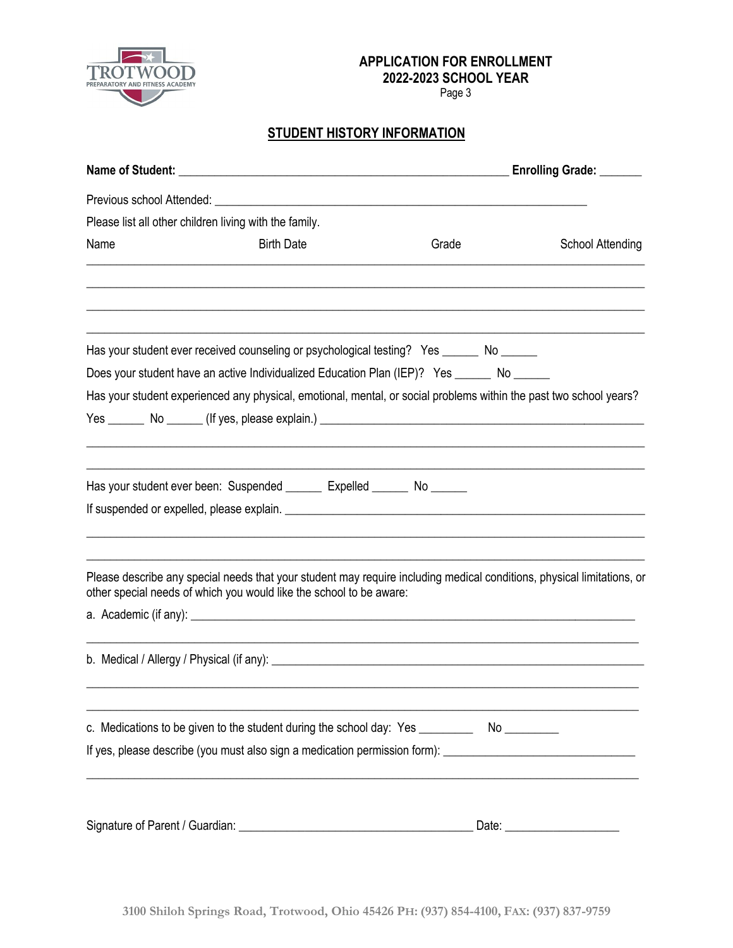

Page 3

# **STUDENT HISTORY INFORMATION**

|                                                        |                                                                                                                                                                                                                               |       | Enrolling Grade: ______        |
|--------------------------------------------------------|-------------------------------------------------------------------------------------------------------------------------------------------------------------------------------------------------------------------------------|-------|--------------------------------|
|                                                        |                                                                                                                                                                                                                               |       |                                |
| Please list all other children living with the family. |                                                                                                                                                                                                                               |       |                                |
| Name                                                   | <b>Birth Date</b>                                                                                                                                                                                                             | Grade | <b>School Attending</b>        |
|                                                        |                                                                                                                                                                                                                               |       |                                |
|                                                        | Has your student ever received counseling or psychological testing? Yes ______ No ______                                                                                                                                      |       |                                |
|                                                        | Does your student have an active Individualized Education Plan (IEP)? Yes ______ No _____                                                                                                                                     |       |                                |
|                                                        | Has your student experienced any physical, emotional, mental, or social problems within the past two school years?                                                                                                            |       |                                |
|                                                        |                                                                                                                                                                                                                               |       |                                |
|                                                        |                                                                                                                                                                                                                               |       |                                |
|                                                        | Has your student ever been: Suspended _______ Expelled ______ No ______                                                                                                                                                       |       |                                |
|                                                        | If suspended or expelled, please explain. The material control of the state of the state of the state of the state of the state of the state of the state of the state of the state of the state of the state of the state of |       |                                |
|                                                        | Please describe any special needs that your student may require including medical conditions, physical limitations, or<br>other special needs of which you would like the school to be aware:                                 |       |                                |
|                                                        |                                                                                                                                                                                                                               |       |                                |
|                                                        |                                                                                                                                                                                                                               |       |                                |
|                                                        | c. Medications to be given to the student during the school day: Yes ___________ No _________                                                                                                                                 |       |                                |
|                                                        | If yes, please describe (you must also sign a medication permission form): ___________________________________                                                                                                                |       |                                |
|                                                        |                                                                                                                                                                                                                               |       |                                |
|                                                        |                                                                                                                                                                                                                               |       | Date: ________________________ |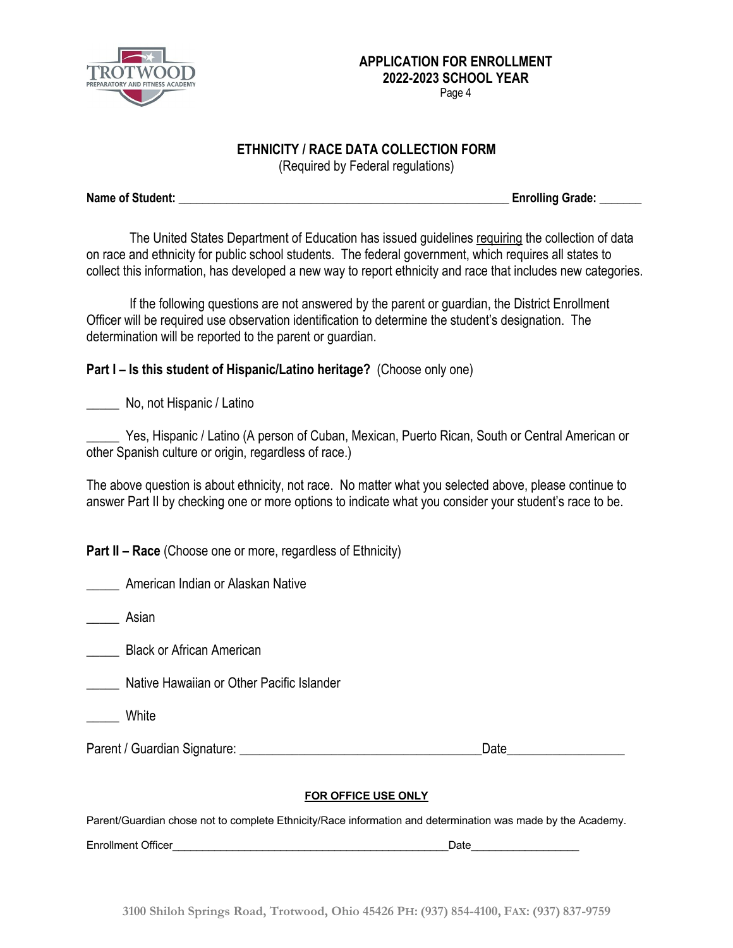

### **ETHNICITY / RACE DATA COLLECTION FORM**

(Required by Federal regulations)

**Name of Student: \_\_\_\_\_\_\_\_\_\_\_\_\_\_\_\_\_\_\_\_\_\_\_\_\_\_\_\_\_\_\_\_\_\_\_\_\_\_\_\_\_\_\_\_\_\_\_\_\_\_\_\_\_\_\_ Enrolling Grade: \_\_\_\_\_\_\_**

The United States Department of Education has issued guidelines requiring the collection of data on race and ethnicity for public school students. The federal government, which requires all states to collect this information, has developed a new way to report ethnicity and race that includes new categories.

If the following questions are not answered by the parent or guardian, the District Enrollment Officer will be required use observation identification to determine the student's designation. The determination will be reported to the parent or guardian.

# **Part I – Is this student of Hispanic/Latino heritage?** (Choose only one)

\_\_\_\_\_ No, not Hispanic / Latino

Yes, Hispanic / Latino (A person of Cuban, Mexican, Puerto Rican, South or Central American or other Spanish culture or origin, regardless of race.)

The above question is about ethnicity, not race. No matter what you selected above, please continue to answer Part II by checking one or more options to indicate what you consider your student's race to be.

**Part II – Race** (Choose one or more, regardless of Ethnicity)

\_\_\_\_\_ American Indian or Alaskan Native

\_\_\_\_\_ Asian

\_\_\_\_\_ Black or African American

\_\_\_\_\_ Native Hawaiian or Other Pacific Islander

**White** 

Parent / Guardian Signature: \_\_\_\_\_\_\_\_\_\_\_\_\_\_\_\_\_\_\_\_\_\_\_\_\_\_\_\_\_\_\_\_\_\_\_\_\_Date\_\_\_\_\_\_\_\_\_\_\_\_\_\_\_\_\_\_

#### **FOR OFFICE USE ONLY**

Parent/Guardian chose not to complete Ethnicity/Race information and determination was made by the Academy.

Enrollment Officer **Enrollment Officer**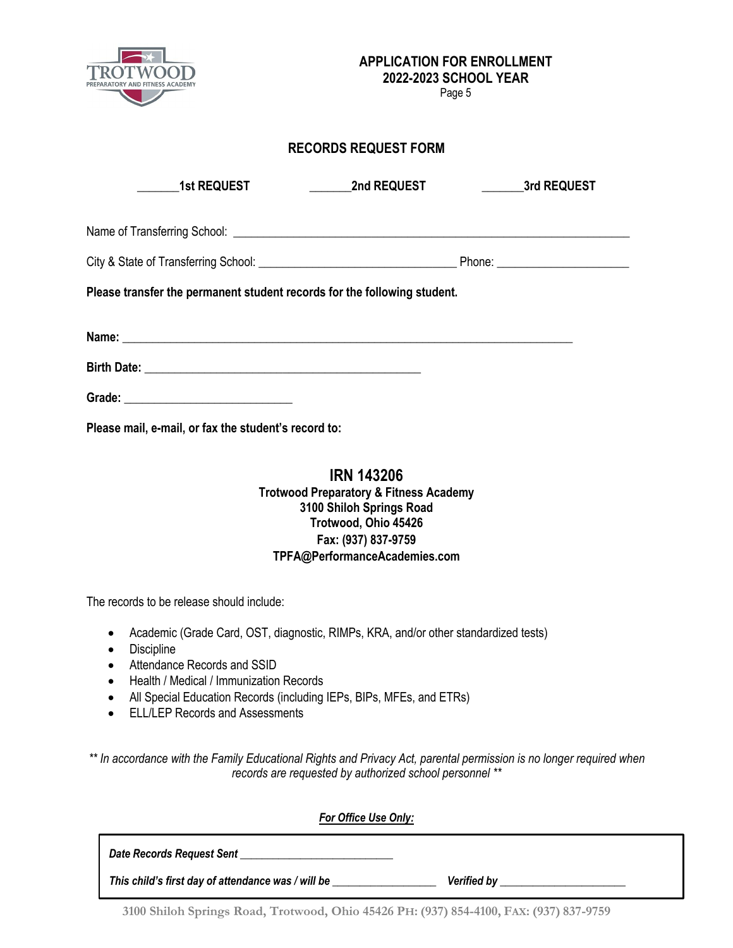

Page 5

## **RECORDS REQUEST FORM**

| <b>1st REQUEST</b>                                                       | <b>Example 2nd REQUEST</b> | <b>Example 25 Start Street 3rd REQUEST</b> |  |  |  |  |
|--------------------------------------------------------------------------|----------------------------|--------------------------------------------|--|--|--|--|
|                                                                          |                            |                                            |  |  |  |  |
|                                                                          |                            |                                            |  |  |  |  |
| Please transfer the permanent student records for the following student. |                            |                                            |  |  |  |  |
|                                                                          |                            |                                            |  |  |  |  |
|                                                                          |                            |                                            |  |  |  |  |
|                                                                          |                            |                                            |  |  |  |  |
| Please mail, e-mail, or fax the student's record to:                     |                            |                                            |  |  |  |  |

## **IRN 143206 Trotwood Preparatory & Fitness Academy 3100 Shiloh Springs Road Trotwood, Ohio 45426 Fax: (937) 837-9759 TPFA@PerformanceAcademies.com**

The records to be release should include:

- Academic (Grade Card, OST, diagnostic, RIMPs, KRA, and/or other standardized tests)
- Discipline
- Attendance Records and SSID
- Health / Medical / Immunization Records
- All Special Education Records (including IEPs, BIPs, MFEs, and ETRs)
- ELL/LEP Records and Assessments

*\*\* In accordance with the Family Educational Rights and Privacy Act, parental permission is no longer required when records are requested by authorized school personnel \*\**

| <b>For Office Use Only:</b>                        |                    |
|----------------------------------------------------|--------------------|
| Date Records Request Sent                          |                    |
| This child's first day of attendance was / will be | <b>Verified by</b> |

**3100 Shiloh Springs Road, Trotwood, Ohio 45426 PH: (937) 854-4100, FAX: (937) 837-9759**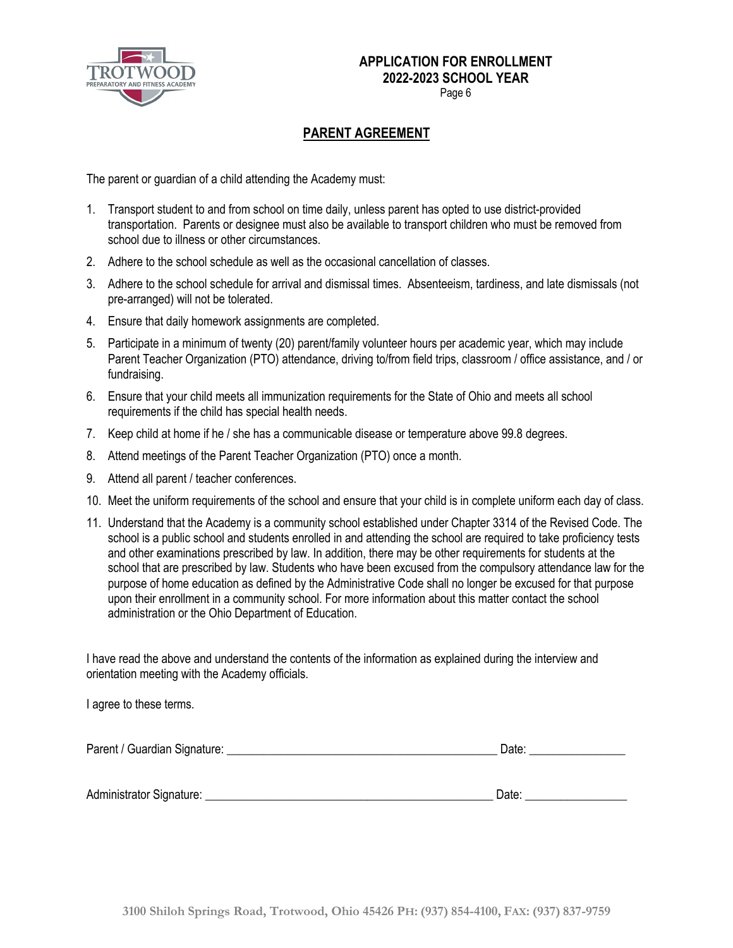

Page 6

# **PARENT AGREEMENT**

The parent or guardian of a child attending the Academy must:

- 1. Transport student to and from school on time daily, unless parent has opted to use district-provided transportation. Parents or designee must also be available to transport children who must be removed from school due to illness or other circumstances.
- 2. Adhere to the school schedule as well as the occasional cancellation of classes.
- 3. Adhere to the school schedule for arrival and dismissal times. Absenteeism, tardiness, and late dismissals (not pre-arranged) will not be tolerated.
- 4. Ensure that daily homework assignments are completed.
- 5. Participate in a minimum of twenty (20) parent/family volunteer hours per academic year, which may include Parent Teacher Organization (PTO) attendance, driving to/from field trips, classroom / office assistance, and / or fundraising.
- 6. Ensure that your child meets all immunization requirements for the State of Ohio and meets all school requirements if the child has special health needs.
- 7. Keep child at home if he / she has a communicable disease or temperature above 99.8 degrees.
- 8. Attend meetings of the Parent Teacher Organization (PTO) once a month.
- 9. Attend all parent / teacher conferences.
- 10. Meet the uniform requirements of the school and ensure that your child is in complete uniform each day of class.
- 11. Understand that the Academy is a community school established under Chapter 3314 of the Revised Code. The school is a public school and students enrolled in and attending the school are required to take proficiency tests and other examinations prescribed by law. In addition, there may be other requirements for students at the school that are prescribed by law. Students who have been excused from the compulsory attendance law for the purpose of home education as defined by the Administrative Code shall no longer be excused for that purpose upon their enrollment in a community school. For more information about this matter contact the school administration or the Ohio Department of Education.

I have read the above and understand the contents of the information as explained during the interview and orientation meeting with the Academy officials.

I agree to these terms.

| Parent / Guardian Signature: | Jate |  |
|------------------------------|------|--|
|                              |      |  |

Administrator Signature: \_\_\_\_\_\_\_\_\_\_\_\_\_\_\_\_\_\_\_\_\_\_\_\_\_\_\_\_\_\_\_\_\_\_\_\_\_\_\_\_\_\_\_\_\_\_\_\_ Date: \_\_\_\_\_\_\_\_\_\_\_\_\_\_\_\_\_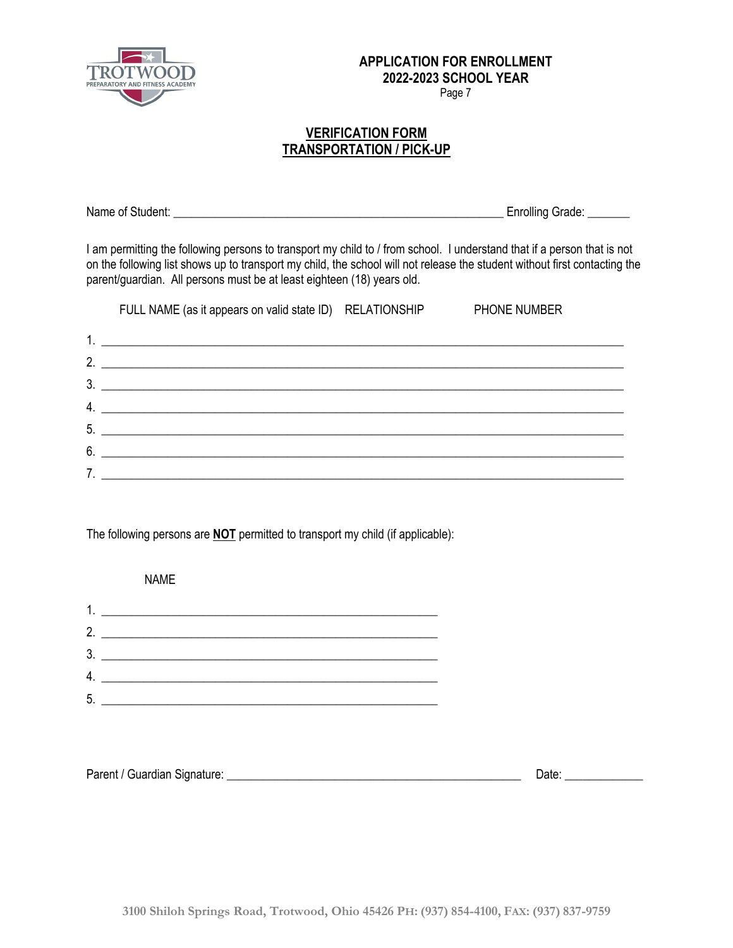

Page 7

### **VERIFICATION FORM TRANSPORTATION / PICK-UP**

Name of Student: **Name of Student:**  $\blacksquare$ 

I am permitting the following persons to transport my child to / from school. I understand that if a person that is not on the following list shows up to transport my child, the school will not release the student without first contacting the parent/guardian. All persons must be at least eighteen (18) years old.

|                  | FULL NAME (as it appears on valid state ID) RELATIONSHIP                                                              | <b>PHONE NUMBER</b> |
|------------------|-----------------------------------------------------------------------------------------------------------------------|---------------------|
|                  |                                                                                                                       |                     |
| $\mathcal{P}$    |                                                                                                                       |                     |
| 3 <sub>1</sub>   | <u> 1980 - Andrea Barbara, amerikan personal dan personal dan personal dan personal dan personal dan personal dan</u> |                     |
| $\overline{4}$ . | <u> Alexandria de la contrada de la contrada de la contrada de la contrada de la contrada de la contrada de la c</u>  |                     |
|                  | 5.                                                                                                                    |                     |
| 6                |                                                                                                                       |                     |
|                  |                                                                                                                       |                     |

The following persons are **NOT** permitted to transport my child (if applicable):

 NAME 1. \_\_\_\_\_\_\_\_\_\_\_\_\_\_\_\_\_\_\_\_\_\_\_\_\_\_\_\_\_\_\_\_\_\_\_\_\_\_\_\_\_\_\_\_\_\_\_\_\_\_\_\_\_\_\_\_ 2. \_\_\_\_\_\_\_\_\_\_\_\_\_\_\_\_\_\_\_\_\_\_\_\_\_\_\_\_\_\_\_\_\_\_\_\_\_\_\_\_\_\_\_\_\_\_\_\_\_\_\_\_\_\_\_\_ 3. \_\_\_\_\_\_\_\_\_\_\_\_\_\_\_\_\_\_\_\_\_\_\_\_\_\_\_\_\_\_\_\_\_\_\_\_\_\_\_\_\_\_\_\_\_\_\_\_\_\_\_\_\_\_\_\_ 4. \_\_\_\_\_\_\_\_\_\_\_\_\_\_\_\_\_\_\_\_\_\_\_\_\_\_\_\_\_\_\_\_\_\_\_\_\_\_\_\_\_\_\_\_\_\_\_\_\_\_\_\_\_\_\_\_ 5. \_\_\_\_\_\_\_\_\_\_\_\_\_\_\_\_\_\_\_\_\_\_\_\_\_\_\_\_\_\_\_\_\_\_\_\_\_\_\_\_\_\_\_\_\_\_\_\_\_\_\_\_\_\_\_\_

| Parent / Guardian Signature:<br>Date <sup>-</sup> |
|---------------------------------------------------|
|---------------------------------------------------|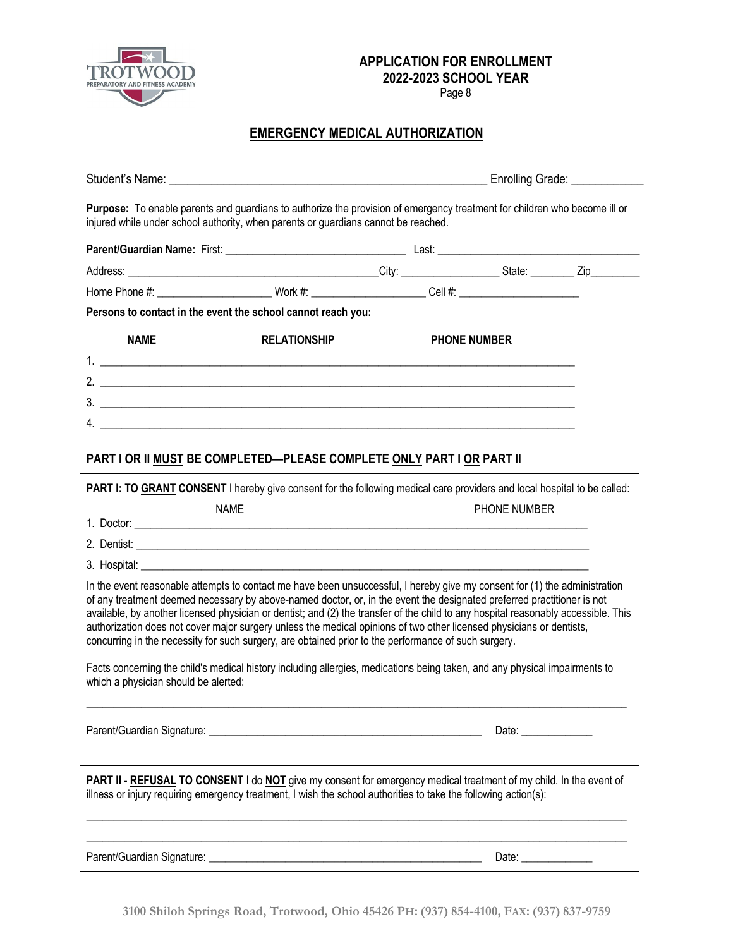

Page 8

# **EMERGENCY MEDICAL AUTHORIZATION**

|                                      | injured while under school authority, when parents or guardians cannot be reached.                                                                                                                                                                                                                                                                                                                                                                                                                                                                                                                                         | Purpose: To enable parents and guardians to authorize the provision of emergency treatment for children who become ill or |                     |  |
|--------------------------------------|----------------------------------------------------------------------------------------------------------------------------------------------------------------------------------------------------------------------------------------------------------------------------------------------------------------------------------------------------------------------------------------------------------------------------------------------------------------------------------------------------------------------------------------------------------------------------------------------------------------------------|---------------------------------------------------------------------------------------------------------------------------|---------------------|--|
|                                      |                                                                                                                                                                                                                                                                                                                                                                                                                                                                                                                                                                                                                            |                                                                                                                           |                     |  |
|                                      |                                                                                                                                                                                                                                                                                                                                                                                                                                                                                                                                                                                                                            |                                                                                                                           |                     |  |
|                                      | Home Phone #: __________________________Work #: ________________________Cell #: _________________________                                                                                                                                                                                                                                                                                                                                                                                                                                                                                                                  |                                                                                                                           |                     |  |
|                                      | Persons to contact in the event the school cannot reach you:                                                                                                                                                                                                                                                                                                                                                                                                                                                                                                                                                               |                                                                                                                           |                     |  |
| <b>NAME</b>                          | <b>RELATIONSHIP</b>                                                                                                                                                                                                                                                                                                                                                                                                                                                                                                                                                                                                        |                                                                                                                           | <b>PHONE NUMBER</b> |  |
|                                      |                                                                                                                                                                                                                                                                                                                                                                                                                                                                                                                                                                                                                            |                                                                                                                           |                     |  |
|                                      |                                                                                                                                                                                                                                                                                                                                                                                                                                                                                                                                                                                                                            |                                                                                                                           |                     |  |
|                                      | $4. \_$                                                                                                                                                                                                                                                                                                                                                                                                                                                                                                                                                                                                                    |                                                                                                                           |                     |  |
|                                      |                                                                                                                                                                                                                                                                                                                                                                                                                                                                                                                                                                                                                            |                                                                                                                           |                     |  |
|                                      | PART I OR II MUST BE COMPLETED-PLEASE COMPLETE ONLY PART I OR PART II                                                                                                                                                                                                                                                                                                                                                                                                                                                                                                                                                      |                                                                                                                           |                     |  |
|                                      | <b>PART I: TO GRANT CONSENT</b> I hereby give consent for the following medical care providers and local hospital to be called:                                                                                                                                                                                                                                                                                                                                                                                                                                                                                            |                                                                                                                           |                     |  |
|                                      | <b>NAME</b>                                                                                                                                                                                                                                                                                                                                                                                                                                                                                                                                                                                                                |                                                                                                                           | PHONE NUMBER        |  |
|                                      | 1. Doctor:                                                                                                                                                                                                                                                                                                                                                                                                                                                                                                                                                                                                                 |                                                                                                                           |                     |  |
|                                      |                                                                                                                                                                                                                                                                                                                                                                                                                                                                                                                                                                                                                            |                                                                                                                           |                     |  |
|                                      |                                                                                                                                                                                                                                                                                                                                                                                                                                                                                                                                                                                                                            |                                                                                                                           |                     |  |
|                                      | In the event reasonable attempts to contact me have been unsuccessful, I hereby give my consent for (1) the administration<br>of any treatment deemed necessary by above-named doctor, or, in the event the designated preferred practitioner is not<br>available, by another licensed physician or dentist; and (2) the transfer of the child to any hospital reasonably accessible. This<br>authorization does not cover major surgery unless the medical opinions of two other licensed physicians or dentists,<br>concurring in the necessity for such surgery, are obtained prior to the performance of such surgery. |                                                                                                                           |                     |  |
| which a physician should be alerted: | Facts concerning the child's medical history including allergies, medications being taken, and any physical impairments to                                                                                                                                                                                                                                                                                                                                                                                                                                                                                                 |                                                                                                                           |                     |  |
|                                      |                                                                                                                                                                                                                                                                                                                                                                                                                                                                                                                                                                                                                            |                                                                                                                           | Date: $\frac{1}{2}$ |  |
|                                      | PART II - REFUSAL TO CONSENT I do NOT give my consent for emergency medical treatment of my child. In the event of<br>illness or injury requiring emergency treatment, I wish the school authorities to take the following action(s):                                                                                                                                                                                                                                                                                                                                                                                      |                                                                                                                           |                     |  |

Parent/Guardian Signature: \_\_\_\_\_\_\_\_\_\_\_\_\_\_\_\_\_\_\_\_\_\_\_\_\_\_\_\_\_\_\_\_\_\_\_\_\_\_\_\_\_\_\_\_\_\_\_\_\_\_ Date: \_\_\_\_\_\_\_\_\_\_\_\_\_

 $\_$  ,  $\_$  ,  $\_$  ,  $\_$  ,  $\_$  ,  $\_$  ,  $\_$  ,  $\_$  ,  $\_$  ,  $\_$  ,  $\_$  ,  $\_$  ,  $\_$  ,  $\_$  ,  $\_$  ,  $\_$  ,  $\_$  ,  $\_$  ,  $\_$  ,  $\_$  ,  $\_$  ,  $\_$  ,  $\_$  ,  $\_$  ,  $\_$  ,  $\_$  ,  $\_$  ,  $\_$  ,  $\_$  ,  $\_$  ,  $\_$  ,  $\_$  ,  $\_$  ,  $\_$  ,  $\_$  ,  $\_$  ,  $\_$  ,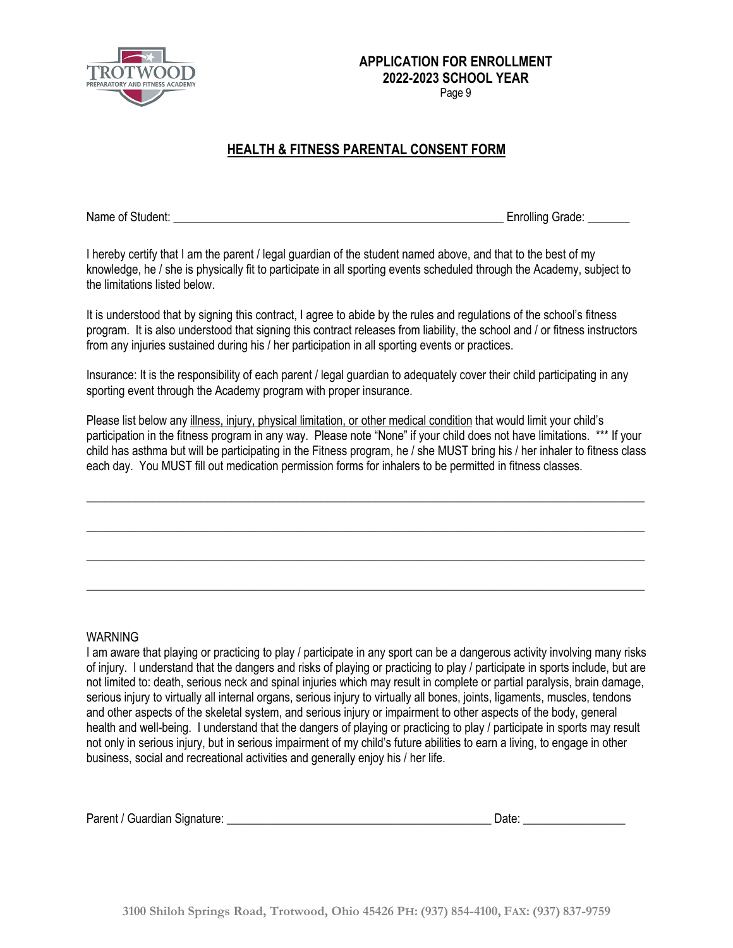

Page 9

# **HEALTH & FITNESS PARENTAL CONSENT FORM**

Name of Student: **Name of Student:**  $\blacksquare$ 

I hereby certify that I am the parent / legal guardian of the student named above, and that to the best of my knowledge, he / she is physically fit to participate in all sporting events scheduled through the Academy, subject to the limitations listed below.

It is understood that by signing this contract, I agree to abide by the rules and regulations of the school's fitness program. It is also understood that signing this contract releases from liability, the school and / or fitness instructors from any injuries sustained during his / her participation in all sporting events or practices.

Insurance: It is the responsibility of each parent / legal guardian to adequately cover their child participating in any sporting event through the Academy program with proper insurance.

Please list below any illness, injury, physical limitation, or other medical condition that would limit your child's participation in the fitness program in any way. Please note "None" if your child does not have limitations. \*\*\* If your child has asthma but will be participating in the Fitness program, he / she MUST bring his / her inhaler to fitness class each day. You MUST fill out medication permission forms for inhalers to be permitted in fitness classes.

 $\_$  ,  $\_$  ,  $\_$  ,  $\_$  ,  $\_$  ,  $\_$  ,  $\_$  ,  $\_$  ,  $\_$  ,  $\_$  ,  $\_$  ,  $\_$  ,  $\_$  ,  $\_$  ,  $\_$  ,  $\_$  ,  $\_$  ,  $\_$  ,  $\_$  ,  $\_$  ,  $\_$  ,  $\_$  ,  $\_$  ,  $\_$  ,  $\_$  ,  $\_$  ,  $\_$  ,  $\_$  ,  $\_$  ,  $\_$  ,  $\_$  ,  $\_$  ,  $\_$  ,  $\_$  ,  $\_$  ,  $\_$  ,  $\_$  ,

\_\_\_\_\_\_\_\_\_\_\_\_\_\_\_\_\_\_\_\_\_\_\_\_\_\_\_\_\_\_\_\_\_\_\_\_\_\_\_\_\_\_\_\_\_\_\_\_\_\_\_\_\_\_\_\_\_\_\_\_\_\_\_\_\_\_\_\_\_\_\_\_\_\_\_\_\_\_\_\_\_\_\_\_\_\_\_\_\_\_\_\_\_

\_\_\_\_\_\_\_\_\_\_\_\_\_\_\_\_\_\_\_\_\_\_\_\_\_\_\_\_\_\_\_\_\_\_\_\_\_\_\_\_\_\_\_\_\_\_\_\_\_\_\_\_\_\_\_\_\_\_\_\_\_\_\_\_\_\_\_\_\_\_\_\_\_\_\_\_\_\_\_\_\_\_\_\_\_\_\_\_\_\_\_\_\_

\_\_\_\_\_\_\_\_\_\_\_\_\_\_\_\_\_\_\_\_\_\_\_\_\_\_\_\_\_\_\_\_\_\_\_\_\_\_\_\_\_\_\_\_\_\_\_\_\_\_\_\_\_\_\_\_\_\_\_\_\_\_\_\_\_\_\_\_\_\_\_\_\_\_\_\_\_\_\_\_\_\_\_\_\_\_\_\_\_\_\_\_\_

#### WARNING

I am aware that playing or practicing to play / participate in any sport can be a dangerous activity involving many risks of injury. I understand that the dangers and risks of playing or practicing to play / participate in sports include, but are not limited to: death, serious neck and spinal injuries which may result in complete or partial paralysis, brain damage, serious injury to virtually all internal organs, serious injury to virtually all bones, joints, ligaments, muscles, tendons and other aspects of the skeletal system, and serious injury or impairment to other aspects of the body, general health and well-being. I understand that the dangers of playing or practicing to play / participate in sports may result not only in serious injury, but in serious impairment of my child's future abilities to earn a living, to engage in other business, social and recreational activities and generally enjoy his / her life.

|  | Parent / Guardian Signature: |  | Date |  |
|--|------------------------------|--|------|--|
|--|------------------------------|--|------|--|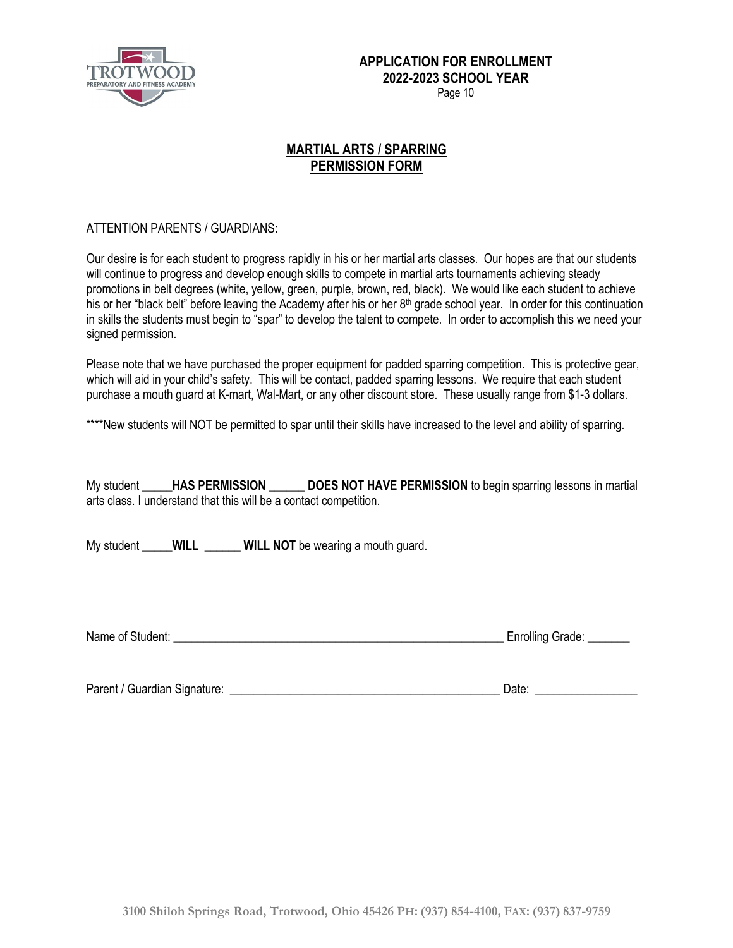

### **MARTIAL ARTS / SPARRING PERMISSION FORM**

### ATTENTION PARENTS / GUARDIANS:

Our desire is for each student to progress rapidly in his or her martial arts classes. Our hopes are that our students will continue to progress and develop enough skills to compete in martial arts tournaments achieving steady promotions in belt degrees (white, yellow, green, purple, brown, red, black). We would like each student to achieve his or her "black belt" before leaving the Academy after his or her  $8<sup>th</sup>$  grade school year. In order for this continuation in skills the students must begin to "spar" to develop the talent to compete. In order to accomplish this we need your signed permission.

Please note that we have purchased the proper equipment for padded sparring competition. This is protective gear, which will aid in your child's safety. This will be contact, padded sparring lessons. We require that each student purchase a mouth guard at K-mart, Wal-Mart, or any other discount store. These usually range from \$1-3 dollars.

\*\*\*\*New students will NOT be permitted to spar until their skills have increased to the level and ability of sparring.

My student **\_\_\_\_\_HAS PERMISSION \_\_\_\_\_\_ DOES NOT HAVE PERMISSION** to begin sparring lessons in martial arts class. I understand that this will be a contact competition.

My student **WILL WILL NOT** be wearing a mouth guard.

Name of Student: \_\_\_\_\_\_\_\_\_\_\_\_\_\_\_\_\_\_\_\_\_\_\_\_\_\_\_\_\_\_\_\_\_\_\_\_\_\_\_\_\_\_\_\_\_\_\_\_\_\_\_\_\_\_\_ Enrolling Grade: \_\_\_\_\_\_\_

Parent / Guardian Signature: \_\_\_\_\_\_\_\_\_\_\_\_\_\_\_\_\_\_\_\_\_\_\_\_\_\_\_\_\_\_\_\_\_\_\_\_\_\_\_\_\_\_\_\_\_ Date: \_\_\_\_\_\_\_\_\_\_\_\_\_\_\_\_\_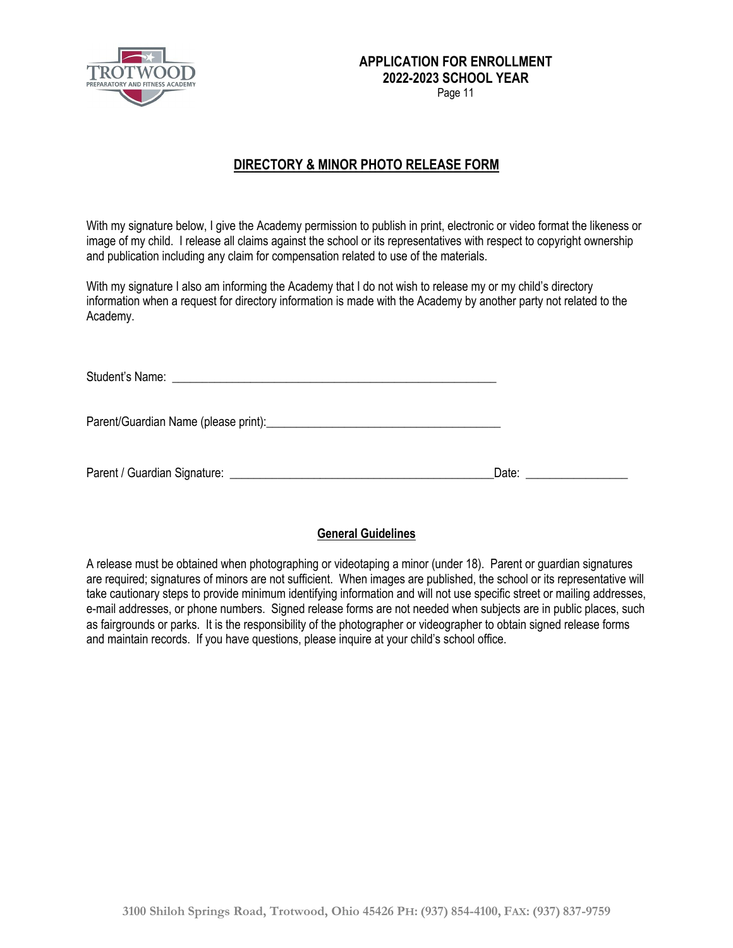

Page 11

## **DIRECTORY & MINOR PHOTO RELEASE FORM**

With my signature below, I give the Academy permission to publish in print, electronic or video format the likeness or image of my child. I release all claims against the school or its representatives with respect to copyright ownership and publication including any claim for compensation related to use of the materials.

With my signature I also am informing the Academy that I do not wish to release my or my child's directory information when a request for directory information is made with the Academy by another party not related to the Academy.

| Date: the contract of the contract of the contract of the contract of the contract of the contract of the contract of the contract of the contract of the contract of the contract of the contract of the contract of the cont |
|--------------------------------------------------------------------------------------------------------------------------------------------------------------------------------------------------------------------------------|

### **General Guidelines**

A release must be obtained when photographing or videotaping a minor (under 18). Parent or guardian signatures are required; signatures of minors are not sufficient. When images are published, the school or its representative will take cautionary steps to provide minimum identifying information and will not use specific street or mailing addresses, e-mail addresses, or phone numbers. Signed release forms are not needed when subjects are in public places, such as fairgrounds or parks. It is the responsibility of the photographer or videographer to obtain signed release forms and maintain records. If you have questions, please inquire at your child's school office.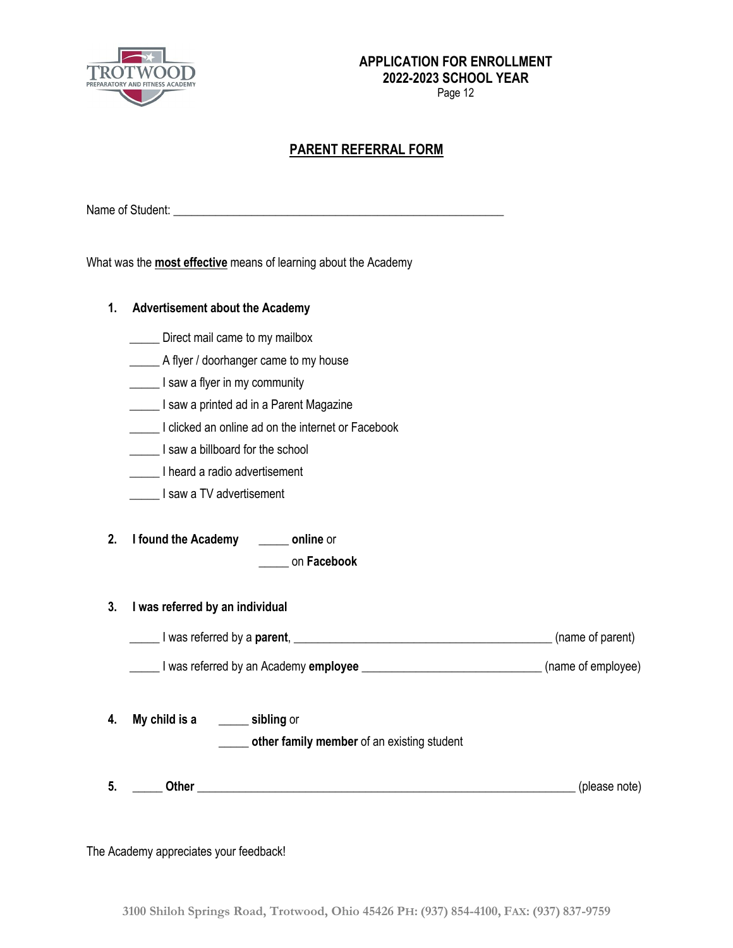

Page 12

## **PARENT REFERRAL FORM**

Name of Student: \_\_\_\_\_\_\_\_\_\_\_\_\_\_\_\_\_\_\_\_\_\_\_\_\_\_\_\_\_\_\_\_\_\_\_\_\_\_\_\_\_\_\_\_\_\_\_\_\_\_\_\_\_\_\_

What was the **most effective** means of learning about the Academy

| 1.       | <b>Advertisement about the Academy</b>                                                                                                                                             |               |  |  |
|----------|------------------------------------------------------------------------------------------------------------------------------------------------------------------------------------|---------------|--|--|
|          | Direct mail came to my mailbox                                                                                                                                                     |               |  |  |
|          | A flyer / doorhanger came to my house                                                                                                                                              |               |  |  |
|          | I saw a flyer in my community                                                                                                                                                      |               |  |  |
|          | I saw a printed ad in a Parent Magazine                                                                                                                                            |               |  |  |
|          | I clicked an online ad on the internet or Facebook                                                                                                                                 |               |  |  |
|          | I saw a billboard for the school                                                                                                                                                   |               |  |  |
|          | I heard a radio advertisement                                                                                                                                                      |               |  |  |
|          | I saw a TV advertisement                                                                                                                                                           |               |  |  |
| 2.<br>3. | I found the Academy _______ online or<br>on Facebook<br>I was referred by an individual<br>I was referred by a parent, <u>Communication and the set of parent</u> (name of parent) |               |  |  |
|          | Lacker Channel Sy an Academy employee <u>Commerce Channel Channel (name</u> of employee)                                                                                           |               |  |  |
| 4.       | My child is a _______ sibling or<br>other family member of an existing student                                                                                                     |               |  |  |
| 5.       |                                                                                                                                                                                    | (please note) |  |  |

The Academy appreciates your feedback!